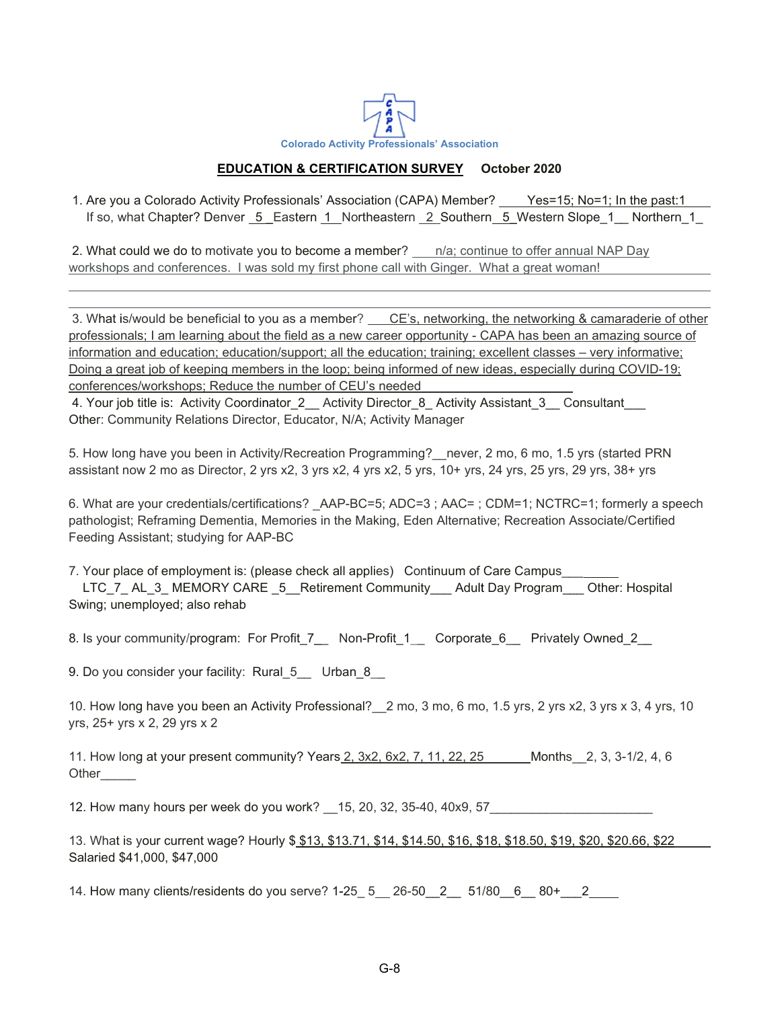

## **EDUCATION & CERTIFICATION SURVEY October 2020**

1. Are you a Colorado Activity Professionals' Association (CAPA) Member? Yes=15; No=1; In the past:1 If so, what Chapter? Denver 5 Eastern 1 Northeastern 2 Southern 5 Western Slope 1 Northern 1

2. What could we do to motivate you to become a member? \_\_ n/a; continue to offer annual NAP Day workshops and conferences. I was sold my first phone call with Ginger. What a great woman!

3. What is/would be beneficial to you as a member? CE's, networking, the networking & camaraderie of other professionals; I am learning about the field as a new career opportunity - CAPA has been an amazing source of information and education; education/support; all the education; training; excellent classes – very informative; Doing a great job of keeping members in the loop; being informed of new ideas, especially during COVID-19; conferences/workshops; Reduce the number of CEU's needed

4. Your job title is: Activity Coordinator 2 Activity Director 8 Activity Assistant 3 Consultant Other: Community Relations Director, Educator, N/A; Activity Manager

5. How long have you been in Activity/Recreation Programming?\_\_never, 2 mo, 6 mo, 1.5 yrs (started PRN assistant now 2 mo as Director, 2 yrs x2, 3 yrs x2, 4 yrs x2, 5 yrs, 10+ yrs, 24 yrs, 25 yrs, 29 yrs, 38+ yrs

6. What are your credentials/certifications? AAP-BC=5; ADC=3 ; AAC= ; CDM=1; NCTRC=1; formerly a speech pathologist; Reframing Dementia, Memories in the Making, Eden Alternative; Recreation Associate/Certified Feeding Assistant; studying for AAP-BC

7. Your place of employment is: (please check all applies) Continuum of Care Campus\_\_\_ LTC\_7\_ AL\_3\_ MEMORY CARE \_5\_\_ Retirement Community\_\_\_\_ Adult Day Program\_\_\_\_ Other: Hospital Swing; unemployed; also rehab

8. Is your community/program: For Profit\_7\_\_ Non-Profit\_1\_\_ Corporate\_6\_\_ Privately Owned\_2\_

9. Do you consider your facility: Rural\_5\_\_ Urban 8

10. How long have you been an Activity Professional?\_\_2 mo, 3 mo, 6 mo, 1.5 yrs, 2 yrs x2, 3 yrs x 3, 4 yrs, 10 yrs, 25+ yrs x 2, 29 yrs x 2

11. How long at your present community? Years 2, 3x2, 6x2, 7, 11, 22, 25 Months 2, 3, 3-1/2, 4, 6 Other\_\_\_\_\_

12. How many hours per week do you work? \_\_15, 20, 32, 35-40, 40x9, 57\_\_\_\_\_\_\_\_\_\_\_\_\_\_\_\_\_\_\_\_\_\_\_

13. What is your current wage? Hourly \$ \$13, \$13.71, \$14, \$14.50, \$16, \$18, \$18.50, \$19, \$20, \$20.66, \$22 Salaried \$41,000, \$47,000

14. How many clients/residents do you serve? 1-25\_ 5 26-50\_\_2\_\_ 51/80\_\_6\_\_ 80+\_\_\_2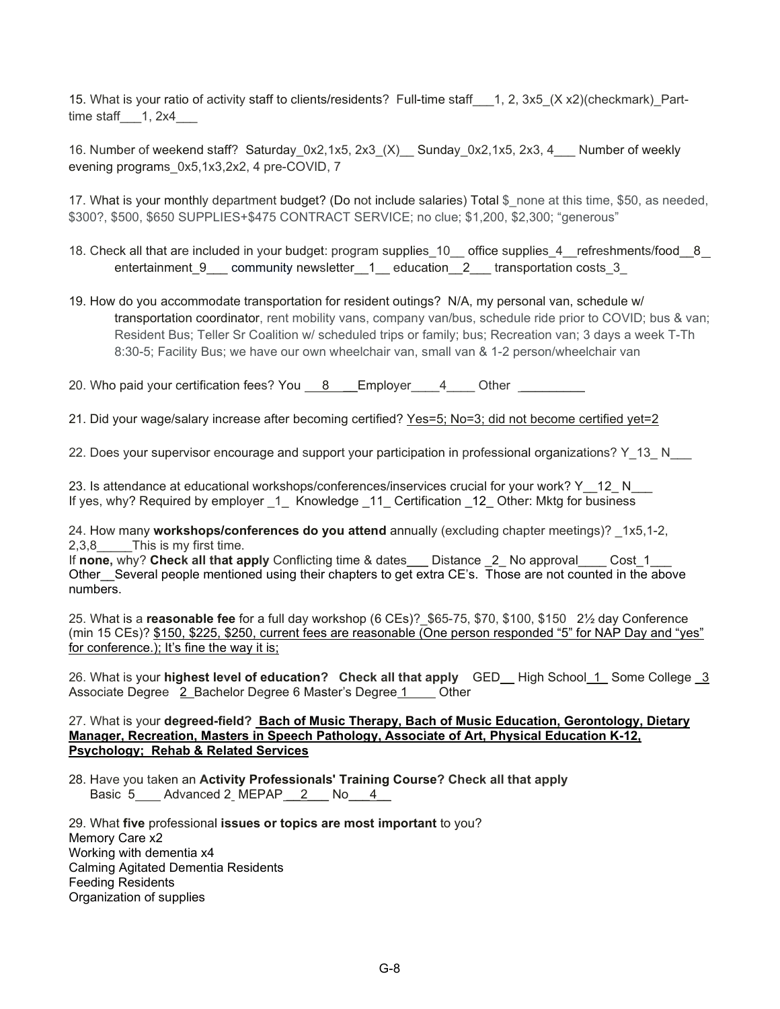15. What is your ratio of activity staff to clients/residents? Full-time staff 1, 2, 3x5 (X x2)(checkmark) Parttime staff  $\qquad$  1, 2x4

16. Number of weekend staff? Saturday\_0x2,1x5, 2x3\_(X)\_\_ Sunday\_0x2,1x5, 2x3, 4\_\_\_ Number of weekly evening programs\_0x5,1x3,2x2, 4 pre-COVID, 7

17. What is your monthly department budget? (Do not include salaries) Total \$\_none at this time, \$50, as needed, \$300?, \$500, \$650 SUPPLIES+\$475 CONTRACT SERVICE; no clue; \$1,200, \$2,300; "generous"

- 18. Check all that are included in your budget: program supplies 10\_\_ office supplies 4\_\_refreshments/food 8\_\_ entertainment 9 community newsletter 1 education 2 transportation costs 3
- 19. How do you accommodate transportation for resident outings? N/A, my personal van, schedule w/ transportation coordinator, rent mobility vans, company van/bus, schedule ride prior to COVID; bus & van; Resident Bus; Teller Sr Coalition w/ scheduled trips or family; bus; Recreation van; 3 days a week T-Th 8:30-5; Facility Bus; we have our own wheelchair van, small van & 1-2 person/wheelchair van

20. Who paid your certification fees? You \_\_\_ 8 \_\_\_\_ Employer \_\_\_\_4 \_\_\_ Other

21. Did your wage/salary increase after becoming certified? Yes=5; No=3; did not become certified yet=2

22. Does your supervisor encourage and support your participation in professional organizations? Y\_13\_ N\_\_\_

23. Is attendance at educational workshops/conferences/inservices crucial for your work? Y 12 N If yes, why? Required by employer 1 Knowledge 11 Certification 12 Other: Mktg for business

24. How many **workshops/conferences do you attend** annually (excluding chapter meetings)? \_1x5,1-2, 2,3,8 This is my first time.

If **none,** why? **Check all that apply** Conflicting time & dates\_\_\_ Distance \_2\_ No approval\_\_\_\_ Cost\_1\_\_\_ Other\_\_Several people mentioned using their chapters to get extra CE's. Those are not counted in the above numbers.

25. What is a **reasonable fee** for a full day workshop (6 CEs)?\_\$65-75, \$70, \$100, \$150 2½ day Conference (min 15 CEs)? \$150, \$225, \$250, current fees are reasonable (One person responded "5" for NAP Day and "yes" for conference.); It's fine the way it is;

26. What is your **highest level of education? Check all that apply** GED\_\_ High School\_1\_ Some College \_3 Associate Degree 2 Bachelor Degree 6 Master's Degree 1 Other

27. What is your **degreed-field? Bach of Music Therapy, Bach of Music Education, Gerontology, Dietary Manager, Recreation, Masters in Speech Pathology, Associate of Art, Physical Education K-12, Psychology; Rehab & Related Services**

28. Have you taken an **Activity Professionals' Training Course? Check all that apply** Basic 5\_\_\_\_ Advanced 2\_MEPAP\_\_2\_\_\_ No\_\_\_4\_\_

29. What **five** professional **issues or topics are most important** to you? Memory Care x2 Working with dementia x4 Calming Agitated Dementia Residents Feeding Residents Organization of supplies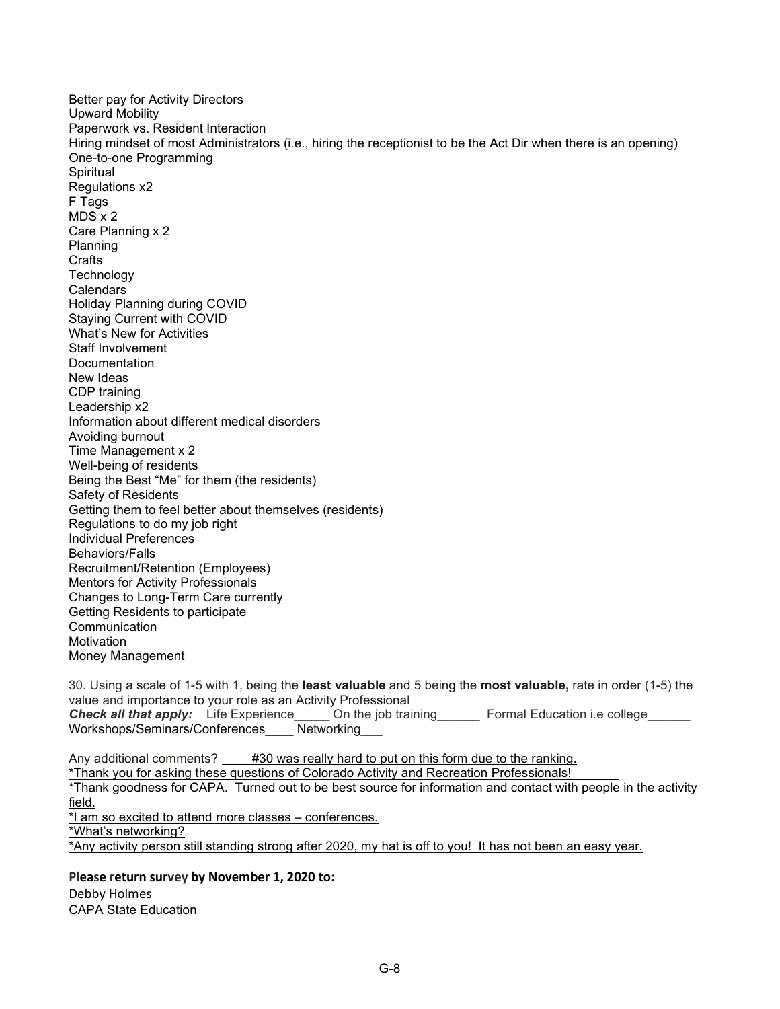Better pay for Activity Directors Upward Mobility Paperwork vs. Resident Interaction Hiring mindset of most Administrators (i.e., hiring the receptionist to be the Act Dir when there is an opening) One-to-one Programming Spiritual Regulations x2 F Tags MDS x 2 Care Planning x 2 Planning **Crafts Technology Calendars** Holiday Planning during COVID Staying Current with COVID What's New for Activities Staff Involvement **Documentation** New Ideas CDP training Leadership x2 Information about different medical disorders Avoiding burnout Time Management x 2 Well-being of residents Being the Best "Me" for them (the residents) Safety of Residents Getting them to feel better about themselves (residents) Regulations to do my job right Individual Preferences Behaviors/Falls Recruitment/Retention (Employees) Mentors for Activity Professionals Changes to Long-Term Care currently Getting Residents to participate **Communication Motivation** Money Management 30. Using a scale of 1-5 with 1, being the **least valuable** and 5 being the **most valuable,** rate in order (1-5) the value and importance to your role as an Activity Professional

**Check all that apply:** Life Experience\_\_\_\_\_ On the job training\_\_\_\_\_\_\_ Formal Education i.e college\_ Workshops/Seminars/Conferences\_\_\_\_ Networking\_\_\_

Any additional comments? #30 was really hard to put on this form due to the ranking. \*Thank you for asking these questions of Colorado Activity and Recreation Professionals! \*Thank goodness for CAPA. Turned out to be best source for information and contact with people in the activity field. \*I am so excited to attend more classes – conferences. \*What's networking? \*Any activity person still standing strong after 2020, my hat is off to you! It has not been an easy year.

**Please return survey by November 1, 2020 to:** Debby Holmes CAPA State Education